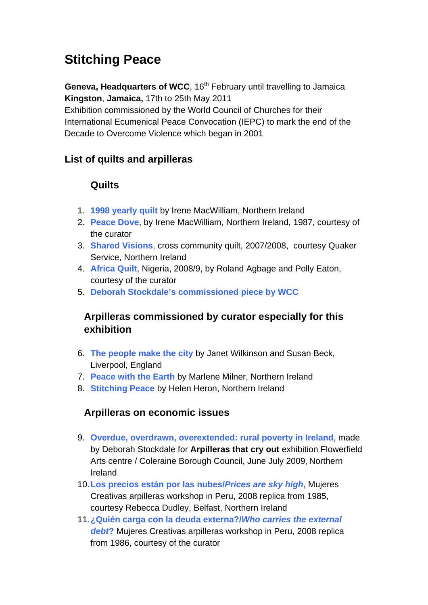# **Stitching Peace**

**Geneva, Headquarters of WCC**, 16<sup>th</sup> February until travelling to Jamaica **Kingston**, **Jamaica,** 17th to 25th May 2011

Exhibition commissioned by the World Council of Churches for their International Ecumenical Peace Convocation (IEPC) to mark the end of the Decade to Overcome Violence which began in 2001

# **List of quilts and arpilleras**

## **Quilts**

- 1. **1998 yearly quilt** by Irene MacWilliam, Northern Ireland
- 2. **Peace Dove**, by Irene MacWilliam, Northern Ireland, 1987, courtesy of the curator
- 3. **Shared Visions**, cross community quilt, 2007/2008, courtesy Quaker Service, Northern Ireland
- 4. **Africa Quilt**, Nigeria, 2008/9, by Roland Agbage and Polly Eaton, courtesy of the curator
- 5. **Deborah Stockdale's commissioned piece by WCC**

# **Arpilleras commissioned by curator especially for this exhibition**

- 6. **The people make the city** by Janet Wilkinson and Susan Beck, Liverpool, England
- 7. **Peace with the Earth** by Marlene Milner, Northern Ireland
- 8. **Stitching Peace** by Helen Heron, Northern Ireland

## **Arpilleras on economic issues**

- 9. **Overdue, overdrawn, overextended: rural poverty in Ireland**, made by Deborah Stockdale for **Arpilleras that cry out** exhibition Flowerfield Arts centre / Coleraine Borough Council, June July 2009, Northern Ireland
- 10.**Los precios están por las nubes/***Prices are sky high***,** Mujeres Creativas arpilleras workshop in Peru, 2008 replica from 1985, courtesy Rebecca Dudley, Belfast, Northern Ireland
- 11.**¿Quién carga con la deuda externa?/***Who carries the external debt***?** Mujeres Creativas arpilleras workshop in Peru, 2008 replica from 1986, courtesy of the curator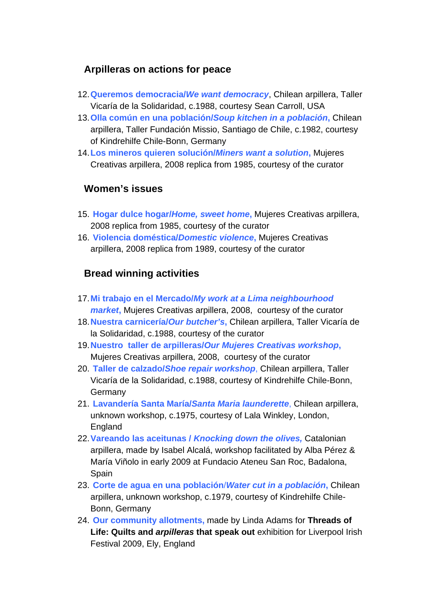#### **Arpilleras on actions for peace**

- 12.**Queremos democracia/***We want democracy*, Chilean arpillera, Taller Vicaría de la Solidaridad, c.1988, courtesy Sean Carroll, USA
- 13.**Olla común en una población/***Soup kitchen in a población***,** Chilean arpillera, Taller Fundación Missio, Santiago de Chile, c.1982, courtesy of Kindrehilfe Chile-Bonn, Germany
- 14.**Los mineros quieren solución/***Miners want a solution***,** Mujeres Creativas arpillera, 2008 replica from 1985, courtesy of the curator

#### **Women's issues**

- 15. **Hogar dulce hogar/***Home, sweet home***,** Mujeres Creativas arpillera, 2008 replica from 1985, courtesy of the curator
- 16. **Violencia doméstica/***Domestic violence***,** Mujeres Creativas arpillera, 2008 replica from 1989, courtesy of the curator

## **Bread winning activities**

- 17.**Mi trabajo en el Mercado/***My work at a Lima neighbourhood market***,** Mujeres Creativas arpillera, 2008, courtesy of the curator
- 18.**Nuestra carnicería/***Our butcher's***,** Chilean arpillera, Taller Vicaría de la Solidaridad, c.1988, courtesy of the curator
- 19.**Nuestro taller de arpilleras/***Our Mujeres Creativas workshop***,**  Mujeres Creativas arpillera, 2008, courtesy of the curator
- 20. **Taller de calzado/***Shoe repair workshop*, Chilean arpillera, Taller Vicaría de la Solidaridad, c.1988, courtesy of Kindrehilfe Chile-Bonn, **Germany**
- 21. **Lavandería Santa María/***Santa Maria launderette*, Chilean arpillera, unknown workshop, c.1975, courtesy of Lala Winkley, London, England
- 22.**Vareando las aceitunas /** *Knocking down the olives,* Catalonian arpillera, made by Isabel Alcalá, workshop facilitated by Alba Pérez & María Viñolo in early 2009 at Fundacio Ateneu San Roc, Badalona, Spain
- 23. **Corte de agua en una población**/*Water cut in a población***,** Chilean arpillera, unknown workshop, c.1979, courtesy of Kindrehilfe Chile-Bonn, Germany
- 24. **Our community allotments,** made by Linda Adams for **Threads of Life: Quilts and** *arpilleras* **that speak out** exhibition for Liverpool Irish Festival 2009, Ely, England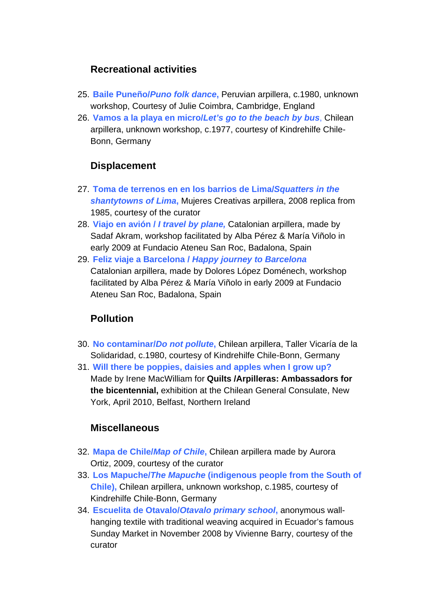### **Recreational activities**

- 25. **Baile Puneño/***Puno folk dance***,** Peruvian arpillera, c.1980, unknown workshop, Courtesy of Julie Coimbra, Cambridge, England
- 26. **Vamos a la playa en micro/***Let's go to the beach by bus*, Chilean arpillera, unknown workshop, c.1977, courtesy of Kindrehilfe Chile-Bonn, Germany

## **Displacement**

- 27. **Toma de terrenos en en los barrios de Lima/***Squatters in the shantytowns of Lima***,** Mujeres Creativas arpillera, 2008 replica from 1985, courtesy of the curator
- 28. **Viajo en avión /** *I travel by plane,* Catalonian arpillera, made by Sadaf Akram, workshop facilitated by Alba Pérez & María Viñolo in early 2009 at Fundacio Ateneu San Roc, Badalona, Spain
- 29. **Feliz viaje a Barcelona /** *Happy journey to Barcelona* Catalonian arpillera, made by Dolores López Doménech, workshop facilitated by Alba Pérez & María Viñolo in early 2009 at Fundacio Ateneu San Roc, Badalona, Spain

# **Pollution**

- 30. **No contaminar/***Do not pollute***,** Chilean arpillera, Taller Vicaría de la Solidaridad, c.1980, courtesy of Kindrehilfe Chile-Bonn, Germany
- 31. **Will there be poppies, daisies and apples when I grow up?**  Made by Irene MacWilliam for **Quilts /Arpilleras: Ambassadors for the bicentennial,** exhibition at the Chilean General Consulate, New York, April 2010, Belfast, Northern Ireland

## **Miscellaneous**

- 32. **Mapa de Chile/***Map of Chile***,** Chilean arpillera made by Aurora Ortiz, 2009, courtesy of the curator
- 33. **Los Mapuche/***The Mapuche* **(indigenous people from the South of Chile),** Chilean arpillera, unknown workshop, c.1985, courtesy of Kindrehilfe Chile-Bonn, Germany
- 34. **Escuelita de Otavalo/***Otavalo primary school***,** anonymous wallhanging textile with traditional weaving acquired in Ecuador's famous Sunday Market in November 2008 by Vivienne Barry, courtesy of the curator